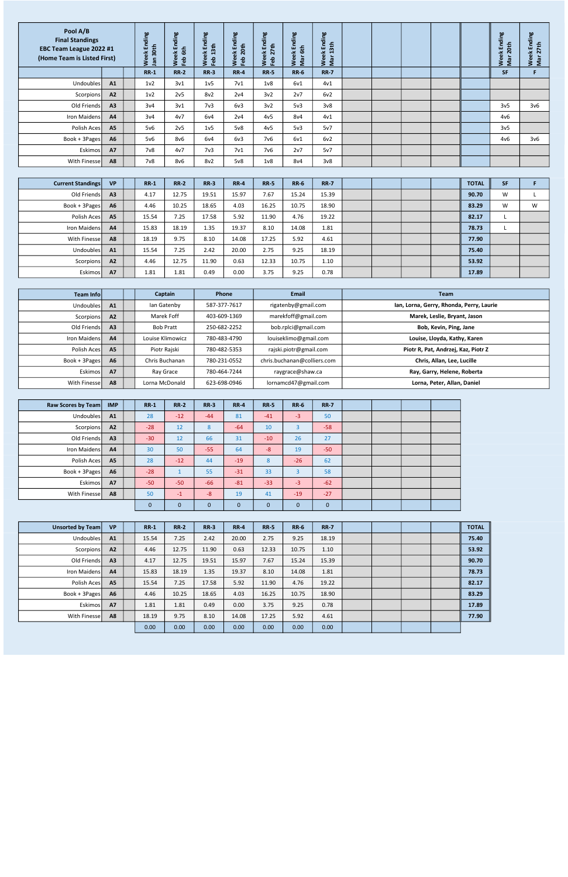| <b>Current Standings</b> | <b>VP</b>      | $RR-1$ | <b>RR-2</b> | $RR-3$ | <b>RR-4</b> | <b>RR-5</b> | <b>RR-6</b> | <b>RR-7</b> |  |  | <b>TOTAL</b> | <b>SF</b> |   |
|--------------------------|----------------|--------|-------------|--------|-------------|-------------|-------------|-------------|--|--|--------------|-----------|---|
| Old Friends              | A <sub>3</sub> | 4.17   | 12.75       | 19.51  | 15.97       | 7.67        | 15.24       | 15.39       |  |  | 90.70        | W         |   |
| Book + 3Pages            | A <sub>6</sub> | 4.46   | 10.25       | 18.65  | 4.03        | 16.25       | 10.75       | 18.90       |  |  | 83.29        | W         | W |
| Polish Aces              | A <sub>5</sub> | 15.54  | 7.25        | 17.58  | 5.92        | 11.90       | 4.76        | 19.22       |  |  | 82.17        |           |   |
| Iron Maidens             | A <sup>4</sup> | 15.83  | 18.19       | 1.35   | 19.37       | 8.10        | 14.08       | 1.81        |  |  | 78.73        |           |   |
| With Finessel            | A <sub>8</sub> | 18.19  | 9.75        | 8.10   | 14.08       | 17.25       | 5.92        | 4.61        |  |  | 77.90        |           |   |
| Undoubles                | A <sub>1</sub> | 15.54  | 7.25        | 2.42   | 20.00       | 2.75        | 9.25        | 18.19       |  |  | 75.40        |           |   |
| Scorpions                | A <sub>2</sub> | 4.46   | 12.75       | 11.90  | 0.63        | 12.33       | 10.75       | 1.10        |  |  | 53.92        |           |   |
| <b>Eskimos</b>           | <b>A7</b>      | 1.81   | 1.81        | 0.49   | 0.00        | 3.75        | 9.25        | 0.78        |  |  | 17.89        |           |   |

| Pool A/B<br><b>Final Standings</b><br>EBC Team League 2022 #1<br>(Home Team is Listed First) |           | Ending<br>30th<br>$\tilde{e}$<br>르<br>Š. | Ending<br>6th<br>总<br>Feb<br>$\omega$<br>š | Ending<br>13 <sub>th</sub><br>$\breve{\mathbf{e}}$<br>Feb<br>Š. | aui<br>ਠ<br>$\overline{a}$<br>ш<br>◓<br>$\frac{1}{10}$<br>$\overline{\mathbf{N}}$<br><b>feb</b> | nding<br>ш<br>$\overline{a}$<br>总<br><u>န</u><br>ω<br>≷<br>- 77 | Ending<br>$\overline{6}$<br>ă<br>Weel<br>Mar | Ending<br>3th<br>$\blacksquare$<br>$\tilde{e}$<br>Wee<br>Mar |  |  | Ending<br>$\frac{1}{6}$<br>Week<br>Mar 20 | 욛<br>Endir<br>7th<br>$\sim$<br>×<br>$\omega$<br>Wee<br>Mar |  |
|----------------------------------------------------------------------------------------------|-----------|------------------------------------------|--------------------------------------------|-----------------------------------------------------------------|-------------------------------------------------------------------------------------------------|-----------------------------------------------------------------|----------------------------------------------|--------------------------------------------------------------|--|--|-------------------------------------------|------------------------------------------------------------|--|
|                                                                                              |           | <b>RR-1</b>                              | <b>RR-2</b>                                | <b>RR-3</b>                                                     | <b>RR-4</b>                                                                                     | <b>RR-5</b>                                                     | <b>RR-6</b>                                  | <b>RR-7</b>                                                  |  |  | <b>SF</b>                                 | Е                                                          |  |
| Undoubles                                                                                    | A1        | 1 <sub>v</sub> 2                         | 3v1                                        | 1 <sub>v</sub> 5                                                | 7 <sub>v1</sub>                                                                                 | 1 <sub>v</sub> 8                                                | 6v1                                          | 4v1                                                          |  |  |                                           |                                                            |  |
| Scorpions                                                                                    | A2        | 1 <sub>v</sub> 2                         | 2v5                                        | 8v2                                                             | 2v4                                                                                             | 3v2                                                             | 2v7                                          | 6v2                                                          |  |  |                                           |                                                            |  |
| Old Friends                                                                                  | A3        | 3v4                                      | 3v1                                        | 7 <sub>v3</sub>                                                 | 6v3                                                                                             | 3v2                                                             | 5v3                                          | 3v8                                                          |  |  | 3v <sub>5</sub>                           | 3 <sub>v</sub> 6                                           |  |
| Iron Maidens                                                                                 | <b>A4</b> | 3v4                                      | 4v7                                        | 6v4                                                             | 2v4                                                                                             | 4v <sub>5</sub>                                                 | 8v4                                          | 4v1                                                          |  |  | 4v6                                       |                                                            |  |
| Polish Aces                                                                                  | <b>A5</b> | 5v6                                      | 2v5                                        | 1 <sub>v</sub> 5                                                | 5v8                                                                                             | 4v5                                                             | 5v3                                          | 5v7                                                          |  |  | 3v <sub>5</sub>                           |                                                            |  |
| Book + 3Pages                                                                                | <b>A6</b> | 5v6                                      | 8v6                                        | 6v4                                                             | 6v3                                                                                             | 7v6                                                             | 6v1                                          | 6v2                                                          |  |  | 4v6                                       | 3v6                                                        |  |
| Eskimos                                                                                      | <b>A7</b> | 7 <sub>v</sub> 8                         | 4v7                                        | 7 <sub>v3</sub>                                                 | 7 <sub>v1</sub>                                                                                 | 7v6                                                             | 2v7                                          | 5v7                                                          |  |  |                                           |                                                            |  |
| With Finesse                                                                                 | A8        | 7v8                                      | 8v6                                        | 8v2                                                             | 5v8                                                                                             | 1 <sub>v</sub> 8                                                | 8v4                                          | 3v8                                                          |  |  |                                           |                                                            |  |

| Raw Scores by Team | <b>IMP</b>     | <b>RR-1</b> | <b>RR-2</b>  | $RR-3$      | <b>RR-4</b> | <b>RR-5</b> | <b>RR-6</b> | <b>RR-7</b> |  |  |
|--------------------|----------------|-------------|--------------|-------------|-------------|-------------|-------------|-------------|--|--|
| Undoubles          | A1             | 28          | $-12$        | $-44$       | 81          | $-41$       | $-3$        | 50          |  |  |
| Scorpions          | A <sub>2</sub> | $-28$       | 12           | 8           | $-64$       | 10          | 3           | $-58$       |  |  |
| Old Friends        | A <sub>3</sub> | $-30$       | 12           | 66          | 31          | $-10$       | 26          | 27          |  |  |
| Iron Maidens       | A <sub>4</sub> | 30          | 50           | $-55$       | 64          | $-8$        | 19          | $-50$       |  |  |
| Polish Aces        | A <sub>5</sub> | 28          | $-12$        | 44          | $-19$       | 8           | $-26$       | 62          |  |  |
| $Book + 3 Pages$   | A <sub>6</sub> | $-28$       | $\mathbf{1}$ | 55          | $-31$       | 33          | 3           | 58          |  |  |
| Eskimos            | <b>A7</b>      | $-50$       | $-50$        | $-66$       | $-81$       | $-33$       | $-3$        | $-62$       |  |  |
| With Finesse       | A8             | 50          | $-1$         | $-8$        | 19          | 41          | $-19$       | $-27$       |  |  |
|                    |                | $\mathbf 0$ | $\mathbf 0$  | $\mathbf 0$ | $\mathbf 0$ | $\mathbf 0$ | 0           | $\mathbf 0$ |  |  |

| Unsorted by Team     | <b>VP</b>      | <b>RR-1</b> | <b>RR-2</b> | $RR-3$ | <b>RR-4</b> | <b>RR-5</b> | <b>RR-6</b> | <b>RR-7</b> |  |  | <b>TOTAL</b> |
|----------------------|----------------|-------------|-------------|--------|-------------|-------------|-------------|-------------|--|--|--------------|
| Undoubles            | A1             | 15.54       | 7.25        | 2.42   | 20.00       | 2.75        | 9.25        | 18.19       |  |  | 75.40        |
| Scorpions            | A2             | 4.46        | 12.75       | 11.90  | 0.63        | 12.33       | 10.75       | 1.10        |  |  | 53.92        |
| Old Friends          | A <sub>3</sub> | 4.17        | 12.75       | 19.51  | 15.97       | 7.67        | 15.24       | 15.39       |  |  | 90.70        |
| <b>Iron Maidensl</b> | A <sub>4</sub> | 15.83       | 18.19       | 1.35   | 19.37       | 8.10        | 14.08       | 1.81        |  |  | 78.73        |
| Polish Aces          | <b>A5</b>      | 15.54       | 7.25        | 17.58  | 5.92        | 11.90       | 4.76        | 19.22       |  |  | 82.17        |
| Book + 3Pages        | A <sub>6</sub> | 4.46        | 10.25       | 18.65  | 4.03        | 16.25       | 10.75       | 18.90       |  |  | 83.29        |
| Eskimos              | <b>A7</b>      | 1.81        | 1.81        | 0.49   | 0.00        | 3.75        | 9.25        | 0.78        |  |  | 17.89        |
| With Finessel        | A <sub>8</sub> | 18.19       | 9.75        | 8.10   | 14.08       | 17.25       | 5.92        | 4.61        |  |  | 77.90        |
|                      |                | 0.00        | 0.00        | 0.00   | 0.00        | 0.00        | 0.00        | 0.00        |  |  |              |

| Team Infol    |                | Captain          | Phone        | Email                       | <b>Team</b>                              |
|---------------|----------------|------------------|--------------|-----------------------------|------------------------------------------|
| Undoubles     | A1             | lan Gatenby      | 587-377-7617 | rigatenby@gmail.com         | Ian, Lorna, Gerry, Rhonda, Perry, Laurie |
| Scorpions     | A <sub>2</sub> | Marek Foff       | 403-609-1369 | marekfoff@gmail.com         | Marek, Leslie, Bryant, Jason             |
| Old Friends   | A <sub>3</sub> | <b>Bob Pratt</b> | 250-682-2252 | bob.rplci@gmail.com         | Bob, Kevin, Ping, Jane                   |
| Iron Maidens  | A <sub>4</sub> | Louise Klimowicz | 780-483-4790 | louiseklimo@gmail.com       | Louise, Lloyda, Kathy, Karen             |
| Polish Aces   | <b>A5</b>      | Piotr Rajski     | 780-482-5353 | rajski.piotr@gmail.com      | Piotr R, Pat, Andrzej, Kaz, Piotr Z      |
| Book + 3Pages | A <sub>6</sub> | Chris Buchanan   | 780-231-0552 | chris.buchanan@colliers.com | Chris, Allan, Lee, Lucille               |
| Eskimos       | <b>A7</b>      | Ray Grace        | 780-464-7244 | raygrace@shaw.ca            | Ray, Garry, Helene, Roberta              |
| With Finesse  | A <sub>8</sub> | Lorna McDonald   | 623-698-0946 | lornamcd47@gmail.com        | Lorna, Peter, Allan, Daniel              |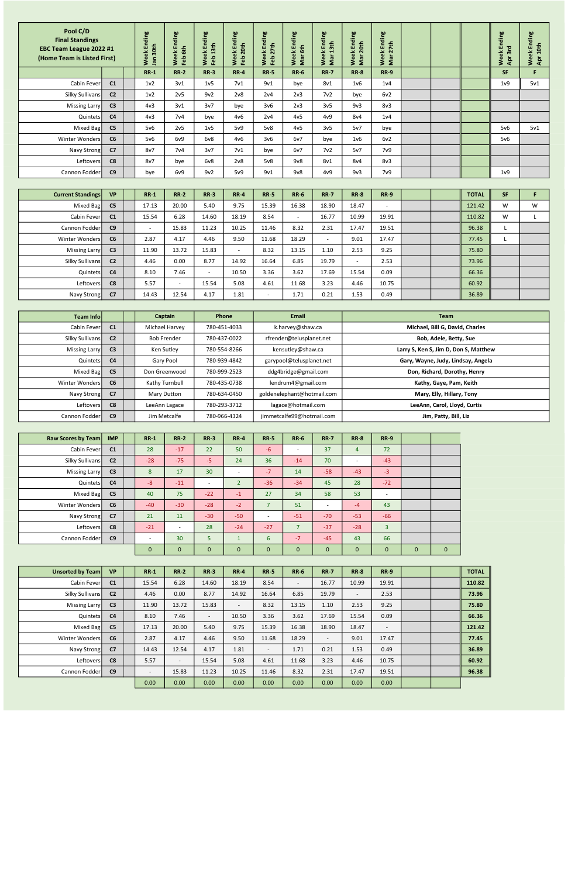| <b>Current Standings</b> | <b>VP</b>      | <b>RR-1</b>              | <b>RR-2</b>              | $RR-3$ | <b>RR-4</b>              | <b>RR-5</b> | <b>RR-6</b>              | <b>RR-7</b>              | <b>RR-8</b> | <b>RR-9</b> |  | <b>TOTAL</b> | <b>SF</b> |   |
|--------------------------|----------------|--------------------------|--------------------------|--------|--------------------------|-------------|--------------------------|--------------------------|-------------|-------------|--|--------------|-----------|---|
| Mixed Bag                | C <sub>5</sub> | 17.13                    | 20.00                    | 5.40   | 9.75                     | 15.39       | 16.38                    | 18.90                    | 18.47       | $\sim$      |  | 121.42       | W         | W |
| Cabin Feverl             | C <sub>1</sub> | 15.54                    | 6.28                     | 14.60  | 18.19                    | 8.54        | $\overline{\phantom{0}}$ | 16.77                    | 10.99       | 19.91       |  | 110.82       | W         |   |
| Cannon Fodder            | C9             | $\overline{\phantom{0}}$ | 15.83                    | 11.23  | 10.25                    | 11.46       | 8.32                     | 2.31                     | 17.47       | 19.51       |  | 96.38        |           |   |
| Winter Wonders           | C6             | 2.87                     | 4.17                     | 4.46   | 9.50                     | 11.68       | 18.29                    | $\overline{\phantom{0}}$ | 9.01        | 17.47       |  | 77.45        |           |   |
| Missing Larry            | C <sub>3</sub> | 11.90                    | 13.72                    | 15.83  | $\overline{\phantom{a}}$ | 8.32        | 13.15                    | 1.10                     | 2.53        | 9.25        |  | 75.80        |           |   |
| Silky Sullivans          | C <sub>2</sub> | 4.46                     | 0.00                     | 8.77   | 14.92                    | 16.64       | 6.85                     | 19.79                    |             | 2.53        |  | 73.96        |           |   |
| Quintets                 | C <sub>4</sub> | 8.10                     | 7.46                     | $\sim$ | 10.50                    | 3.36        | 3.62                     | 17.69                    | 15.54       | 0.09        |  | 66.36        |           |   |
| Leftovers                | C8             | 5.57                     | $\overline{\phantom{a}}$ | 15.54  | 5.08                     | 4.61        | 11.68                    | 3.23                     | 4.46        | 10.75       |  | 60.92        |           |   |
| Navy Strong              | C <sub>7</sub> | 14.43                    | 12.54                    | 4.17   | 1.81                     |             | 1.71                     | 0.21                     | 1.53        | 0.49        |  | 36.89        |           |   |

| Pool C/D<br><b>Final Standings</b><br>EBC Team League 2022 #1<br>(Home Team is Listed First) |                | Week Ending<br>Jan 30th |                    | Week Ending<br>Feb 6th | Week Ending<br>Feb 13th | Week Ending<br>Feb 20th | Week Ending<br>Feb 27th     | Week Ending<br>Mar 6th   | Ending<br>Week Endi<br>Mar 13th | Week Ending<br>Mar 20th | Week Ending<br>Mar 27th |                                 |              | Week Ending<br>Apr 3rd | Week Ending<br>Apr 10th |
|----------------------------------------------------------------------------------------------|----------------|-------------------------|--------------------|------------------------|-------------------------|-------------------------|-----------------------------|--------------------------|---------------------------------|-------------------------|-------------------------|---------------------------------|--------------|------------------------|-------------------------|
|                                                                                              |                | $RR-1$                  |                    | <b>RR-2</b>            | <b>RR-3</b>             | <b>RR-4</b>             | <b>RR-5</b>                 | <b>RR-6</b>              | <b>RR-7</b>                     | <b>RR-8</b>             | <b>RR-9</b>             |                                 |              | <b>SF</b>              | F                       |
| Cabin Fever                                                                                  | C1             | 1 <sub>v</sub> 2        |                    | 3v1                    | 1 <sub>v</sub> 5        | 7 <sub>v1</sub>         | 9v1                         | bye                      | 8v1                             | 1v6                     | 1 <sub>v</sub> 4        |                                 |              | 1 <sub>v</sub> 9       | 5v1                     |
| Silky Sullivans                                                                              | C <sub>2</sub> | 1 <sub>v</sub> 2        |                    | 2v5                    | 9v2                     | 2v8                     | 2v4                         | 2v3                      | 7v2                             | bye                     | 6v2                     |                                 |              |                        |                         |
| <b>Missing Larry</b>                                                                         | C <sub>3</sub> | 4v3                     |                    | 3v1                    | 3v7                     | bye                     | 3 <sub>v</sub> 6            | 2v3                      | 3v5                             | 9v3                     | 8v3                     |                                 |              |                        |                         |
| Quintets                                                                                     | C <sub>4</sub> | 4v3                     |                    | 7 <sub>v4</sub>        | bye                     | 4v6                     | 2v4                         | 4v5                      | 4v9                             | 8v4                     | 1 <sub>v</sub> 4        |                                 |              |                        |                         |
| Mixed Bag                                                                                    | C <sub>5</sub> | 5v6                     |                    | 2v5                    | 1 <sub>v</sub> 5        | 5v9                     | 5v8                         | 4v5                      | 3v <sub>5</sub>                 | 5v7                     | bye                     |                                 |              | 5v6                    | 5v1                     |
| <b>Winter Wonders</b>                                                                        | C6             | $5\nu6$                 |                    | 6v9                    | 6v8                     | 4v6                     | 3v6                         | 6v7                      | bye                             | 1v6                     | 6v2                     |                                 |              | 5v6                    |                         |
| Navy Strong                                                                                  | C7             | 8v7                     |                    | 7 <sub>v4</sub>        | 3v7                     | 7 <sub>v1</sub>         | bye                         | 6v7                      | 7v2                             | 5v7                     | 7 <sub>v</sub> 9        |                                 |              |                        |                         |
| Leftovers                                                                                    | C8             | 8v7                     |                    | bye                    | 6v8                     | 2v8                     | 5v8                         | 9v8                      | 8v1                             | 8v4                     | 8v3                     |                                 |              |                        |                         |
| Cannon Fodder                                                                                | C9             | bye                     |                    | 6v9                    | 9v2                     | 5v9                     | 9v1                         | 9v8                      | 4v9                             | 9v3                     | 7 <sub>v</sub> 9        |                                 |              | 1 <sub>v</sub> 9       |                         |
|                                                                                              |                |                         |                    |                        |                         |                         |                             |                          |                                 |                         |                         |                                 |              |                        |                         |
| <b>Current Standings</b>                                                                     | VP             | $RR-1$                  |                    | <b>RR-2</b>            | <b>RR-3</b>             | <b>RR-4</b>             | <b>RR-5</b>                 | <b>RR-6</b>              | <b>RR-7</b>                     | <b>RR-8</b>             | <b>RR-9</b>             |                                 | <b>TOTAL</b> | SF                     | F                       |
| Mixed Bag                                                                                    | C <sub>5</sub> | 17.13                   |                    | 20.00                  | 5.40                    | 9.75                    | 15.39                       | 16.38                    | 18.90                           | 18.47                   |                         |                                 | 121.42       | W                      | W                       |
| Cabin Fever                                                                                  | C1             | 15.54                   |                    | 6.28                   | 14.60                   | 18.19                   | 8.54                        | $\mathbb{L}$             | 16.77                           | 10.99                   | 19.91                   |                                 | 110.82       | W                      |                         |
| Cannon Fodder                                                                                | C9             | $\blacksquare$          |                    | 15.83                  | 11.23                   | 10.25                   | 11.46                       | 8.32                     | 2.31                            | 17.47                   | 19.51                   |                                 | 96.38        | $\mathsf{L}$           |                         |
| Winter Wonders                                                                               | C6             | 2.87                    |                    | 4.17                   | 4.46                    | 9.50                    | 11.68                       | 18.29                    | $\sim$                          | 9.01                    | 17.47                   |                                 | 77.45        | $\mathsf{L}$           |                         |
| Missing Larry                                                                                | C <sub>3</sub> | 11.90                   |                    | 13.72                  | 15.83                   | $\sim$                  | 8.32                        | 13.15                    | 1.10                            | 2.53                    | 9.25                    |                                 | 75.80        |                        |                         |
| <b>Silky Sullivans</b>                                                                       | C <sub>2</sub> | 4.46                    |                    | 0.00                   | 8.77                    | 14.92                   | 16.64                       | 6.85                     | 19.79                           | $\sim$                  | 2.53                    |                                 | 73.96        |                        |                         |
| Quintets                                                                                     | C4             | 8.10                    |                    | 7.46                   | $\sim$                  | 10.50                   | 3.36                        | 3.62                     | 17.69                           | 15.54                   | 0.09                    |                                 | 66.36        |                        |                         |
| Leftovers                                                                                    | C8             | 5.57                    |                    |                        | 15.54                   | 5.08                    | 4.61                        | 11.68                    | 3.23                            | 4.46                    | 10.75                   |                                 | 60.92        |                        |                         |
| Navy Strong                                                                                  | C7             | 14.43                   |                    | 12.54                  | 4.17                    | 1.81                    | $\mathcal{L}^{\mathcal{A}}$ | 1.71                     | 0.21                            | 1.53                    | 0.49                    |                                 | 36.89        |                        |                         |
|                                                                                              |                |                         |                    |                        |                         |                         |                             |                          |                                 |                         |                         |                                 |              |                        |                         |
| Team Info                                                                                    |                |                         | Captain            |                        |                         | Phone                   |                             | <b>Email</b>             |                                 |                         |                         | Team                            |              |                        |                         |
| Cabin Fever                                                                                  | C1             |                         | Michael Harvey     |                        |                         | 780-451-4033            |                             | k.harvey@shaw.ca         |                                 |                         |                         | Michael, Bill G, David, Charles |              |                        |                         |
| Silky Sullivans                                                                              | C <sub>2</sub> |                         | <b>Bob Frender</b> |                        |                         | 780-437-0022            |                             | rfrender@telusplanet.net |                                 |                         |                         | Bob, Adele, Betty, Sue          |              |                        |                         |

| Raw Scores by Team | <b>IMP</b>     | $RR-1$      | <b>RR-2</b>              | $RR-3$          | <b>RR-4</b>              | <b>RR-5</b>              | <b>RR-6</b>              | <b>RR-7</b>              | <b>RR-8</b>    | <b>RR-9</b>    |             |              |
|--------------------|----------------|-------------|--------------------------|-----------------|--------------------------|--------------------------|--------------------------|--------------------------|----------------|----------------|-------------|--------------|
| Cabin Fever        | C <sub>1</sub> | 28          | $-17$                    | 22              | 50                       | $-6$                     | $\overline{\phantom{a}}$ | 37                       | $\overline{4}$ | 72             |             |              |
| Silky Sullivans    | C <sub>2</sub> | $-28$       | $-75$                    | $-5$            | 24                       | 36                       | $-14$                    | 70                       | $\sim$         | $-43$          |             |              |
| Missing Larry      | C <sub>3</sub> | 8           | 17                       | 30 <sup>°</sup> | $\overline{\phantom{a}}$ | $-7$                     | 14                       | $-58$                    | $-43$          | $-3$           |             |              |
| Quintets           | C <sub>4</sub> | $-8$        | $-11$                    | $\sim$          | $\overline{2}$           | $-36$                    | $-34$                    | 45                       | 28             | $-72$          |             |              |
| Mixed Bag          | C <sub>5</sub> | 40          | 75                       | $-22$           | $-1$                     | 27                       | 34                       | 58                       | 53             | $\sim$         |             |              |
| Winter Wonders     | C6             | $-40$       | $-30$                    | $-28$           | $-2$                     | $\overline{7}$           | 51                       | $\overline{\phantom{a}}$ | $-4$           | 43             |             |              |
| Navy Strong        | C <sub>7</sub> | 21          | 11                       | $-30$           | $-50$                    | $\overline{\phantom{a}}$ | $-51$                    | $-70$                    | $-53$          | $-66$          |             |              |
| Leftovers          | C8             | $-21$       | $\overline{\phantom{a}}$ | 28              | $-24$                    | $-27$                    | $\overline{7}$           | $-37$                    | $-28$          | $\overline{3}$ |             |              |
| Cannon Fodder      | C9             | $\sim$      | 30                       | 5               | $\mathbf{1}$             | 6                        | $-7$                     | $-45$                    | 43             | 66             |             |              |
|                    |                | $\mathbf 0$ | $\mathbf{0}$             | $\mathbf 0$     | $\mathbf 0$              | $\mathbf 0$              | $\mathbf{0}$             | $\mathbf 0$              | $\mathbf 0$    | $\mathbf 0$    | $\mathbf 0$ | $\mathbf{0}$ |

| Unsorted by Team | <b>VP</b>      | $RR-1$                   | <b>RR-2</b>              | $RR-3$                   | <b>RR-4</b> | <b>RR-5</b>              | <b>RR-6</b> | <b>RR-7</b>              | <b>RR-8</b>              | <b>RR-9</b>              |  | <b>TOTAL</b> |
|------------------|----------------|--------------------------|--------------------------|--------------------------|-------------|--------------------------|-------------|--------------------------|--------------------------|--------------------------|--|--------------|
| Cabin Fever      | C <sub>1</sub> | 15.54                    | 6.28                     | 14.60                    | 18.19       | 8.54                     | $\sim$      | 16.77                    | 10.99                    | 19.91                    |  | 110.82       |
| Silky Sullivans  | C <sub>2</sub> | 4.46                     | 0.00                     | 8.77                     | 14.92       | 16.64                    | 6.85        | 19.79                    | $\overline{\phantom{0}}$ | 2.53                     |  | 73.96        |
| Missing Larry    | C <sub>3</sub> | 11.90                    | 13.72                    | 15.83                    | $\sim$      | 8.32                     | 13.15       | 1.10                     | 2.53                     | 9.25                     |  | 75.80        |
| Quintets         | C <sub>4</sub> | 8.10                     | 7.46                     | $\overline{\phantom{a}}$ | 10.50       | 3.36                     | 3.62        | 17.69                    | 15.54                    | 0.09                     |  | 66.36        |
| Mixed Bag        | C <sub>5</sub> | 17.13                    | 20.00                    | 5.40                     | 9.75        | 15.39                    | 16.38       | 18.90                    | 18.47                    | $\overline{\phantom{a}}$ |  | 121.42       |
| Winter Wonders   | C6             | 2.87                     | 4.17                     | 4.46                     | 9.50        | 11.68                    | 18.29       | $\overline{\phantom{a}}$ | 9.01                     | 17.47                    |  | 77.45        |
| Navy Strong      | C <sub>7</sub> | 14.43                    | 12.54                    | 4.17                     | 1.81        | $\overline{\phantom{a}}$ | 1.71        | 0.21                     | 1.53                     | 0.49                     |  | 36.89        |
| Leftovers        | C8             | 5.57                     | $\overline{\phantom{a}}$ | 15.54                    | 5.08        | 4.61                     | 11.68       | 3.23                     | 4.46                     | 10.75                    |  | 60.92        |
| Cannon Fodder    | C <sub>9</sub> | $\overline{\phantom{a}}$ | 15.83                    | 11.23                    | 10.25       | 11.46                    | 8.32        | 2.31                     | 17.47                    | 19.51                    |  | 96.38        |
|                  |                | 0.00                     | 0.00                     | 0.00                     | 0.00        | 0.00                     | 0.00        | 0.00                     | 0.00                     | 0.00                     |  |              |

| Team Infol      |                | Captain            | Phone        | Email                      | Team                                  |
|-----------------|----------------|--------------------|--------------|----------------------------|---------------------------------------|
| Cabin Fever     | C1             | Michael Harvey     | 780-451-4033 | k.harvey@shaw.ca           | Michael, Bill G, David, Charles       |
| Silky Sullivans | C <sub>2</sub> | <b>Bob Frender</b> | 780-437-0022 | rfrender@telusplanet.net   | Bob, Adele, Betty, Sue                |
| Missing Larry   | C <sub>3</sub> | Ken Sutley         | 780-554-8266 | kensutley@shaw.ca          | Larry S, Ken S, Jim D, Don S, Matthew |
| Quintets        | C <sub>4</sub> | Gary Pool          | 780-939-4842 | garypool@telusplanet.net   | Gary, Wayne, Judy, Lindsay, Angela    |
| Mixed Bag       | C <sub>5</sub> | Don Greenwood      | 780-999-2523 | ddg4bridge@gmail.com       | Don, Richard, Dorothy, Henry          |
| Winter Wonders  | C6             | Kathy Turnbull     | 780-435-0738 | lendrum4@gmail.com         | Kathy, Gaye, Pam, Keith               |
| Navy Strong     | C <sub>7</sub> | Mary Dutton        | 780-634-0450 | goldenelephant@hotmail.com | Mary, Elly, Hillary, Tony             |
| Leftovers       | C8             | LeeAnn Lagace      | 780-293-3712 | lagace@hotmail.com         | LeeAnn, Carol, Lloyd, Curtis          |
| Cannon Fodder   | C9             | Jim Metcalfe       | 780-966-4324 | jimmetcalfe99@hotmail.com  | Jim, Patty, Bill, Liz                 |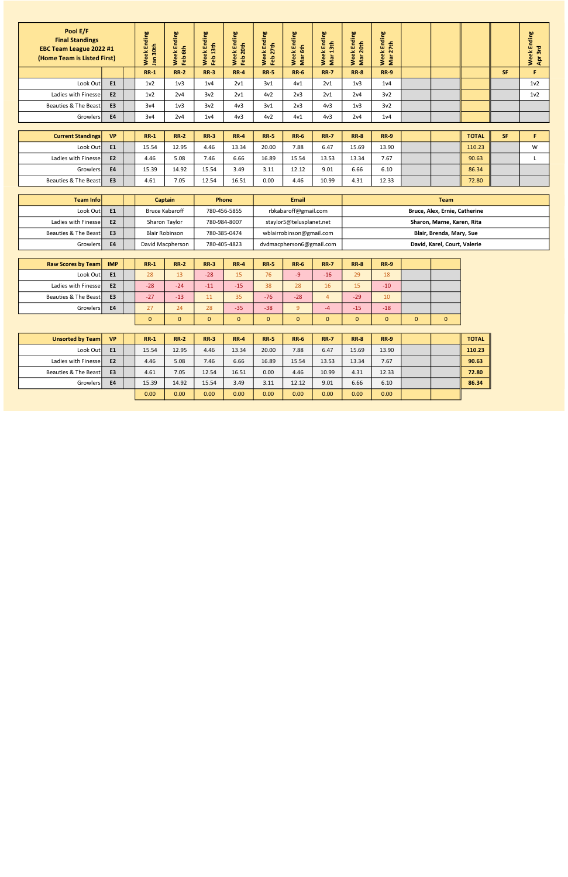| Pool E/F<br><b>Final Standings</b><br>EBC Team League 2022 #1<br>(Home Team is Listed First) |                | Ending<br>30th<br>Week<br><b>Jan</b> | Ending<br>Feb 6th<br>Week | Ending<br>Week End<br>Feb 13th | Ending<br>20th<br>Week<br>Feb <sup>2</sup> | Ending<br>7th<br>Week<br>Feb 27 | Ending<br>Week En<br>Mar 6th | Ending<br>3 <sub>th</sub><br>Week<br>$\blacksquare$<br>Mar | Ending<br>20th<br><b>Week</b><br>Mar | Ending<br>7th<br>Week<br>Mar 2: |      |              |           | Ending<br>Apr 3rd<br>Week |
|----------------------------------------------------------------------------------------------|----------------|--------------------------------------|---------------------------|--------------------------------|--------------------------------------------|---------------------------------|------------------------------|------------------------------------------------------------|--------------------------------------|---------------------------------|------|--------------|-----------|---------------------------|
|                                                                                              |                | $RR-1$                               | <b>RR-2</b>               | $RR-3$                         | <b>RR-4</b>                                | <b>RR-5</b>                     | <b>RR-6</b>                  | <b>RR-7</b>                                                | <b>RR-8</b>                          | <b>RR-9</b>                     |      |              | <b>SF</b> | F                         |
| Look Out                                                                                     | E1             | 1 <sub>v</sub> 2                     | 1 <sub>v</sub> 3          | 1 <sub>v</sub> 4               | 2v1                                        | 3v1                             | 4v1                          | 2v1                                                        | 1 <sub>v</sub> 3                     | 1 <sub>v</sub> 4                |      |              |           | 1 <sub>v</sub> 2          |
| Ladies with Finesse                                                                          | E <sub>2</sub> | 1 <sub>v</sub> 2                     | 2v4                       | 3v <sub>2</sub>                | 2v1                                        | 4v <sub>2</sub>                 | 2v3                          | 2v1                                                        | 2v4                                  | 3v <sub>2</sub>                 |      |              |           | 1 <sub>v</sub> 2          |
| Beauties & The Beast                                                                         | E <sub>3</sub> | 3v4                                  | 1 <sub>v</sub> 3          | 3v <sub>2</sub>                | 4v3                                        | 3v1                             | 2v3                          | 4v3                                                        | 1 <sub>v</sub> 3                     | 3v <sub>2</sub>                 |      |              |           |                           |
| Growlers                                                                                     | <b>E4</b>      | 3v4                                  | 2v4                       | 1 <sub>v</sub> 4               | 4v3                                        | 4v <sub>2</sub>                 | 4v1                          | 4v3                                                        | 2v4                                  | 1 <sub>v</sub> 4                |      |              |           |                           |
|                                                                                              |                |                                      |                           |                                |                                            |                                 |                              |                                                            |                                      |                                 |      |              |           |                           |
| <b>Current Standings</b>                                                                     | <b>VP</b>      | $RR-1$                               | <b>RR-2</b>               | $RR-3$                         | <b>RR-4</b>                                | <b>RR-5</b>                     | <b>RR-6</b>                  | <b>RR-7</b>                                                | <b>RR-8</b>                          | <b>RR-9</b>                     |      | <b>TOTAL</b> | <b>SF</b> | F.                        |
| Look Out                                                                                     | E <sub>1</sub> | 15.54                                | 12.95                     | 4.46                           | 13.34                                      | 20.00                           | 7.88                         | 6.47                                                       | 15.69                                | 13.90                           |      | 110.23       |           | W                         |
| Ladies with Finesse                                                                          | E <sub>2</sub> | 4.46                                 | 5.08                      | 7.46                           | 6.66                                       | 16.89                           | 15.54                        | 13.53                                                      | 13.34                                | 7.67                            |      | 90.63        |           |                           |
| Growlers                                                                                     | <b>E4</b>      | 15.39                                | 14.92                     | 15.54                          | 3.49                                       | 3.11                            | 12.12                        | 9.01                                                       | 6.66                                 | 6.10                            |      | 86.34        |           |                           |
| Beauties & The Beast                                                                         | E <sub>3</sub> | 4.61                                 | 7.05                      | 12.54                          | 16.51                                      | 0.00                            | 4.46                         | 10.99                                                      | 4.31                                 | 12.33                           |      | 72.80        |           |                           |
|                                                                                              |                |                                      |                           |                                |                                            |                                 |                              |                                                            |                                      |                                 |      |              |           |                           |
| Team Info                                                                                    |                |                                      | <b>Captain</b>            |                                | Phone                                      |                                 | <b>Email</b>                 |                                                            |                                      |                                 | Team |              |           |                           |

| <b>Raw Scores by Team</b> | <b>IMP</b>     | $RR-1$   | <b>RR-2</b> | $RR-3$ | <b>RR-4</b> | <b>RR-5</b> | <b>RR-6</b> | <b>RR-7</b>  | <b>RR-8</b> | <b>RR-9</b>  |          |              |
|---------------------------|----------------|----------|-------------|--------|-------------|-------------|-------------|--------------|-------------|--------------|----------|--------------|
| Look Out                  | E <sub>1</sub> | 28       | 13          | $-28$  | 15          | 76          | $-9$        | $-16$        | 29          | 18           |          |              |
| Ladies with Finessel      | <b>E2</b>      | $-28$    | $-24$       | $-11$  | $-15$       | 38          | 28          | 16           | 15          | $-10$        |          |              |
| Beauties & The Beast      | E <sub>3</sub> | $-27$    | $-13$       | 11     | 35          | $-76$       | $-28$       | 4            | $-29$       | 10           |          |              |
| Growlers                  | E4             | 27       | 24          | 28     | $-35$       | $-38$       | $\Omega$    | $-4$         | $-15$       | $-18$        |          |              |
|                           |                | $\Omega$ |             | 0      | 0           | 0           | 0           | $\mathbf{0}$ |             | $\mathbf{0}$ | $\Omega$ | $\mathbf{0}$ |

| Unsorted by Team     | <b>VP</b>      | $RR-1$ | <b>RR-2</b> | <b>RR-3</b> | $RR-4$ | <b>RR-5</b> | <b>RR-6</b> | <b>RR-7</b> | <b>RR-8</b> | <b>RR-9</b> |  | <b>TOTAL</b> |
|----------------------|----------------|--------|-------------|-------------|--------|-------------|-------------|-------------|-------------|-------------|--|--------------|
| Look Out             | E1             | 15.54  | 12.95       | 4.46        | 13.34  | 20.00       | 7.88        | 6.47        | 15.69       | 13.90       |  | 110.23       |
| Ladies with Finessel | E <sub>2</sub> | 4.46   | 5.08        | 7.46        | 6.66   | 16.89       | 15.54       | 13.53       | 13.34       | 7.67        |  | 90.63        |
| Beauties & The Beast | E3             | 4.61   | 7.05        | 12.54       | 16.51  | 0.00        | 4.46        | 10.99       | 4.31        | 12.33       |  | 72.80        |
| Growlers             | <b>E4</b>      | 15.39  | 14.92       | 15.54       | 3.49   | 3.11        | 12.12       | 9.01        | 6.66        | 6.10        |  | 86.34        |
|                      |                | 0.00   | 0.00        | 0.00        | 0.00   | 0.00        | 0.00        | 0.00        | 0.00        | 0.00        |  |              |

| Team Info            |                | Captain               | Phone        | <b>Email</b>             | <b>Team</b>                   |
|----------------------|----------------|-----------------------|--------------|--------------------------|-------------------------------|
| Look Out             | E <sub>1</sub> | <b>Bruce Kabaroff</b> | 780-456-5855 | rbkabaroff@gmail.com     | Bruce, Alex, Ernie, Catherine |
| Ladies with Finessel | E <sub>2</sub> | Sharon Taylor         | 780-984-8007 | staylor5@telusplanet.net | Sharon, Marne, Karen, Rita    |
| Beauties & The Beast | E <sub>3</sub> | <b>Blair Robinson</b> | 780-385-0474 | wblairrobinson@gmail.com | Blair, Brenda, Mary, Sue      |
| Growlers             | <b>E4</b>      | David Macpherson      | 780-405-4823 | dvdmacpherson6@gmail.com | David, Karel, Court, Valerie  |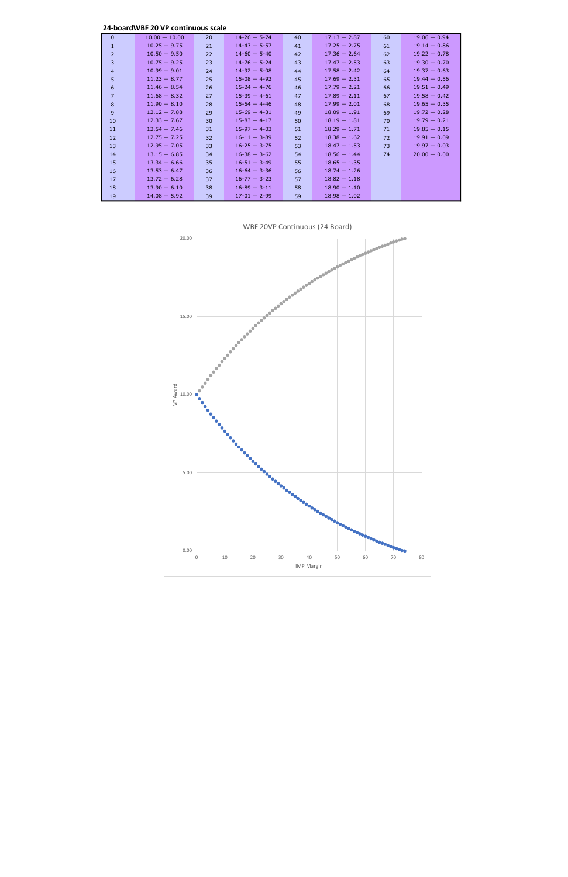24-boardWBF 20 VP continuous scale

| $\Omega$       | $10.00 - 10.00$ | 20 | $14 - 26 - 5 - 74$ | 40 | $17.13 - 2.87$ | 60 | $19.06 - 0.94$ |
|----------------|-----------------|----|--------------------|----|----------------|----|----------------|
| $\mathbf{1}$   | $10.25 - 9.75$  | 21 | $14 - 43 - 5 - 57$ | 41 | $17.25 - 2.75$ | 61 | $19.14 - 0.86$ |
| $\overline{2}$ | $10.50 - 9.50$  | 22 | $14 - 60 - 5 - 40$ | 42 | $17.36 - 2.64$ | 62 | $19.22 - 0.78$ |
| 3              | $10.75 - 9.25$  | 23 | $14 - 76 - 5 - 24$ | 43 | $17.47 - 2.53$ | 63 | $19.30 - 0.70$ |
| $\overline{4}$ | $10.99 - 9.01$  | 24 | $14 - 92 - 5 - 08$ | 44 | $17.58 - 2.42$ | 64 | $19.37 - 0.63$ |
| 5              | $11.23 - 8.77$  | 25 | $15-08 - 4-92$     | 45 | $17.69 - 2.31$ | 65 | $19.44 - 0.56$ |
| 6              | $11.46 - 8.54$  | 26 | $15 - 24 - 4 - 76$ | 46 | $17.79 - 2.21$ | 66 | $19.51 - 0.49$ |
| $\overline{7}$ | $11.68 - 8.32$  | 27 | $15-39 - 4-61$     | 47 | $17.89 - 2.11$ | 67 | $19.58 - 0.42$ |
| 8              | $11.90 - 8.10$  | 28 | $15-54 - 4-46$     | 48 | $17.99 - 2.01$ | 68 | $19.65 - 0.35$ |
| 9              | $12.12 - 7.88$  | 29 | $15-69 - 4-31$     | 49 | $18.09 - 1.91$ | 69 | $19.72 - 0.28$ |
| 10             | $12.33 - 7.67$  | 30 | $15 - 83 - 4 - 17$ | 50 | $18.19 - 1.81$ | 70 | $19.79 - 0.21$ |
| 11             | $12.54 - 7.46$  | 31 | $15-97 - 4-03$     | 51 | $18.29 - 1.71$ | 71 | $19.85 - 0.15$ |
| 12             | $12.75 - 7.25$  | 32 | $16 - 11 - 3 - 89$ | 52 | $18.38 - 1.62$ | 72 | $19.91 - 0.09$ |
| 13             | $12.95 - 7.05$  | 33 | $16 - 25 - 3 - 75$ | 53 | $18.47 - 1.53$ | 73 | $19.97 - 0.03$ |
| 14             | $13.15 - 6.85$  | 34 | $16 - 38 - 3 - 62$ | 54 | $18.56 - 1.44$ | 74 | $20.00 - 0.00$ |
| 15             | $13.34 - 6.66$  | 35 | $16 - 51 - 3 - 49$ | 55 | $18.65 - 1.35$ |    |                |
| 16             | $13.53 - 6.47$  | 36 | $16 - 64 - 3 - 36$ | 56 | $18.74 - 1.26$ |    |                |
| 17             | $13.72 - 6.28$  | 37 | $16 - 77 - 3 - 23$ | 57 | $18.82 - 1.18$ |    |                |
| 18             | $13.90 - 6.10$  | 38 | $16 - 89 - 3 - 11$ | 58 | $18.90 - 1.10$ |    |                |
| 19             | $14.08 - 5.92$  | 39 | $17 - 01 - 2 - 99$ | 59 | $18.98 - 1.02$ |    |                |

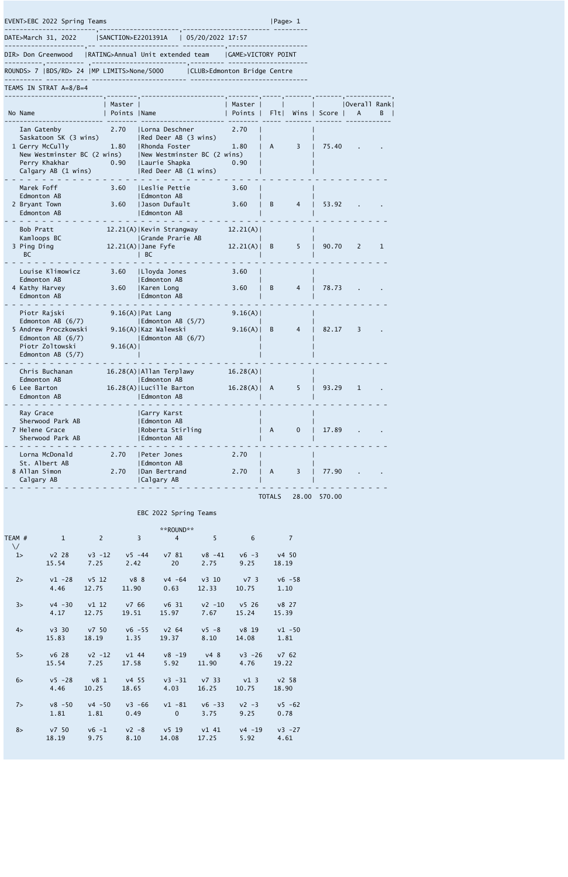DATE>March 31, 2022 |SANCTION>E2201391A | 05/20/2022 17:57

---------------------,-- --------------------- -----------,---------------------

DIR> Don Greenwood |RATING>Annual Unit extended team |GAME>VICTORY POINT

----------,---------- ,-------------------------,--------- --------------------- ROUNDS> 7 |BDS/RD> 24 |MP LIMITS>None/5000 |CLUB>Edmonton Bridge Centre

---------- ----------- ------------------------- -------------------------------

## EVENT>EBC 2022 Spring Teams |Page> 1

------------------------,---------------------,----------------------- ---------

TEAMS IN STRAT A=8/B=4

| No Name                                                                                                                        | Master<br>Points   Name |                                                                                                                                        | Master<br>Points     | F1t | Wins | Score | Overall Rank <br>A | B. |
|--------------------------------------------------------------------------------------------------------------------------------|-------------------------|----------------------------------------------------------------------------------------------------------------------------------------|----------------------|-----|------|-------|--------------------|----|
| Ian Gatenby<br>Saskatoon SK (3 wins)<br>1 Gerry McCully<br>New Westminster BC (2 wins)<br>Perry Khakhar<br>Calgary AB (1 wins) | 2.70<br>1.80<br>0.90    | Lorna Deschner<br> Red Deer AB (3 wins)<br>  Rhonda Foster<br> New Westminster BC (2 wins)<br>  Laurie Shapka<br> Red Deer AB (1 wins) | 2.70<br>1.80<br>0.90 | A   | 3    | 75.40 |                    |    |
| Marek Foff<br>Edmonton AB<br>2 Bryant Town<br>Edmonton AB                                                                      | 3.60<br>3.60            | Leslie Pettie<br>  Edmonton AB<br>Jason Dufault<br>  Edmonton AB                                                                       | 3.60<br>3.60         | B   | 4    | 53.92 |                    |    |
| Bob Pratt<br>Kamloops BC<br>3 Ping Ding<br><b>BC</b>                                                                           |                         | 12.21(A)   Kevin Strangway<br> Grande Prarie AB<br>12.21(A)   Jane Fyfe<br> BC                                                         | 12.21(A)<br>12.21(A) | B   | 5    | 90.70 | 2                  | 1  |
| Louise Klimowicz<br>Edmonton AB<br>4 Kathy Harvey<br>Edmonton AB                                                               | 3.60<br>3.60            | Lloyda Jones<br>  Edmonton AB<br> Karen Long<br>Edmonton AB                                                                            | 3.60<br>3.60         | B   | 4    | 78.73 |                    |    |
| Piotr Rajski<br>Edmonton AB (6/7)<br>5 Andrew Proczkowski<br>Edmonton AB $(6/7)$<br>Piotr Zoltowski<br>Edmonton AB $(5/7)$     | 9.16(A)                 | $9.16(A)$   Pat Lang<br>Edmonton AB (5/7)<br>9.16(A)   Kaz Walewski<br>Edmonton AB (6/7)                                               | 9.16(A)<br>9.16(A)   | B   | 4    | 82.17 | 3                  |    |
| Chris Buchanan<br>Edmonton AB<br>6 Lee Barton<br>Edmonton AB                                                                   |                         | 16.28(A)   Allan Terplawy<br>  Edmonton AB<br>16.28(A)   Lucille Barton<br>  Edmonton AB                                               | 16.28(A)<br>16.28(A) | A   | 5    | 93.29 | $\mathbf{1}$       |    |
| Ray Grace<br>Sherwood Park AB<br>7 Helene Grace<br>Sherwood Park AB                                                            |                         | Garry Karst<br>Edmonton AB<br>Roberta Stirling<br>Edmonton AB                                                                          |                      | A   | 0    | 17.89 |                    |    |
| Lorna McDonald<br>St. Albert AB<br>8 Allan Simon<br>Calgary AB                                                                 | 2.70<br>2.70            | Peter Jones<br>Edmonton AB<br> Dan Bertrand<br>  Calgary AB                                                                            | 2.70<br>2.70         | A   | 3    | 77.90 |                    |    |

TOTALS 28.00 570.00

## EBC 2022 Spring Teams

|                         |                   |                   |                   | **ROUND**         |                    |                          |                        |  |
|-------------------------|-------------------|-------------------|-------------------|-------------------|--------------------|--------------------------|------------------------|--|
| TEAM #<br>$\setminus$ / | $\mathbf{1}$      | $\overline{2}$    | $\overline{3}$    | $\overline{4}$    | 5                  | 6                        | 7                      |  |
| 1                       | v2 28<br>15.54    | $v3 - 12$<br>7.25 | $v5 - 44$<br>2.42 | v781<br>20        | $v8 - 41$<br>2.75  | $\sqrt{6} - 3$<br>9.25   | $\nu$ 4 50<br>18.19    |  |
| $2\geq$                 | $v1 - 28$<br>4.46 | v5 12<br>12.75    | v8 8<br>11.90     | $v4 - 64$<br>0.63 | v310<br>12.33      | v7 <sub>3</sub><br>10.75 | $\sqrt{6}$ -58<br>1.10 |  |
| 3>                      | $v4 - 30$<br>4.17 | v1 12<br>12.75    | v766<br>19.51     | v6 31<br>15.97    | $v^2 - 10$<br>7.67 | v526<br>15.24            | v827<br>15.39          |  |
| 4>                      | v330<br>15.83     | v750<br>18.19     | $v6 - 55$<br>1.35 | $v^2$ 64<br>19.37 | $v5 - 8$<br>8.10   | v819<br>14.08            | $v1 - 50$<br>1.81      |  |

| $5\ge$ | $\sqrt{6}$ 28 | $v^2 - 12$     | v144      | $v8 - 19$    | $\sqrt{4}$ 8 | $v3 - 26$ | v7 62     |
|--------|---------------|----------------|-----------|--------------|--------------|-----------|-----------|
|        | 15.54         | 7.25           | 17.58     | 5.92         | 11.90        | 4.76      | 19.22     |
| $6\ge$ | $v5 - 28$     | v8 1           | v4 55     | $v3 - 31$    | v7 33        | v13       | v2 58     |
|        | 4.46          | 10.25          | 18.65     | 4.03         | 16.25        | 10.75     | 18.90     |
| 7      | $v8 - 50$     | $v4 - 50$      | $v3 - 66$ | $v1 - 81$    | $v6 - 33$    | $v^2 - 3$ | $v5 - 62$ |
|        | 1.81          | 1.81           | 0.49      | $\mathbf{0}$ | 3.75         | 9.25      | 0.78      |
| 8>     | v7 50         | $\sqrt{6} - 1$ | $v^2 - 8$ | v5 19        | v1 41        | $v4 - 19$ | $v3 - 27$ |
|        | 18.19         | 9.75           | 8.10      | 14.08        | 17.25        | 5.92      | 4.61      |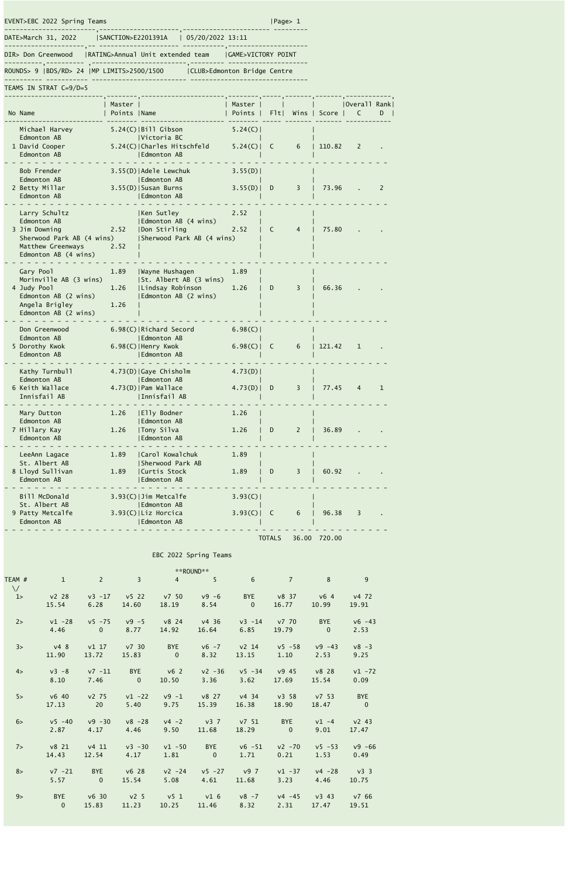TEAMS IN STRAT C=9/D=5

---------- ----------- ------------------------- ------------------------------- ROUNDS> 9 |BDS/RD> 24 |MP LIMITS>2500/1500 |CLUB>Edmonton Bridge Centre

EVENT>EBC 2022 Spring Teams |Page> 1

| DATE>March 31, 2022 | SANCTION>E2201391A   05/20/2022 13:11 |                              |  |
|---------------------|---------------------------------------|------------------------------|--|
| DIR> Don Greenwood  | RATING>Annual Unit extended team      | <b>GAME&gt;VICTORY POINT</b> |  |
|                     |                                       |                              |  |

| No Name                                                                                                                 | Master  <br>Points   Name |                                                                                         | Master  <br>Points | F1t          | Wins | Score  | Overall Rank <br>C | D |
|-------------------------------------------------------------------------------------------------------------------------|---------------------------|-----------------------------------------------------------------------------------------|--------------------|--------------|------|--------|--------------------|---|
| Michael Harvey<br>Edmonton AB<br>1 David Cooper<br>Edmonton AB                                                          |                           | $5.24(C)$  Bill Gibson<br> Victoria BC<br>5.24(C)   Charles Hitschfeld<br>  Edmonton AB | 5.24(C)<br>5.24(C) | C            | 6    | 110.82 | 2                  |   |
| Bob Frender<br>Edmonton AB<br>2 Betty Millar<br>Edmonton AB                                                             |                           | 3.55(D)   Adele Lewchuk<br>  Edmonton AB<br>3.55(D)   Susan Burns<br>  Edmonton AB      | 3.55(D)<br>3.55(D) | D            | 3    | 73.96  |                    | 2 |
| Larry Schultz<br>Edmonton AB<br>3 Jim Downing<br>Sherwood Park AB (4 wins)<br>Matthew Greenways<br>Edmonton AB (4 wins) | 2.52<br>2.52              | Ken Sutley<br>  Edmonton AB (4 wins)<br>Don Stirling<br>  Sherwood Park AB (4 wins)     | 2.52<br>2.52       | C            | 4    | 75.80  |                    |   |
| Gary Pool<br>Morinville AB (3 wins)<br>4 Judy Pool<br>Edmonton AB (2 wins)<br>Angela Brigley<br>Edmonton AB (2 wins)    | 1.89<br>1.26<br>1.26      | Wayne Hushagen<br> St. Albert AB (3 wins)<br> Lindsay Robinson<br>Edmonton AB (2 wins)  | 1.89<br>1.26       | D            | 3    | 66.36  |                    |   |
| Don Greenwood<br>Edmonton AB<br>5 Dorothy Kwok<br>Edmonton AB                                                           |                           | 6.98(C)   Richard Secord<br>  Edmonton AB<br>6.98(C)   Henry Kwok<br>  Edmonton AB      | 6.98(C)<br>6.98(C) | $\mathsf{C}$ | 6    | 121.42 | $\mathbf{1}$       |   |
| Kathy Turnbull<br>Edmonton AB<br>6 Keith Wallace<br>Innisfail AB                                                        |                           | 4.73(D) Gaye Chisholm<br>  Edmonton AB<br>4.73(D)   Pam Wallace<br> Innisfail AB        | 4.73(D)<br>4.73(D) | D            | 3    | 77.45  | $\overline{4}$     | 1 |
| Mary Dutton<br>Edmonton AB<br>7 Hillary Kay<br>Edmonton AB                                                              | 1.26<br>1.26              | Elly Bodner<br>Edmonton AB<br>Tony Silva<br>Edmonton AB                                 | 1.26<br>1.26       | D            | 2    | 36.89  |                    |   |
| LeeAnn Lagace<br>St. Albert AB<br>8 Lloyd Sullivan<br>Edmonton AB                                                       | 1.89<br>1.89              | Carol Kowalchuk<br>Sherwood Park AB<br>Curtis Stock<br>Edmonton AB                      | 1.89<br>1.89       | D            | 3    | 60.92  |                    |   |
| Bill McDonald<br>St. Albert AB<br>9 Patty Metcalfe<br>Edmonton AB                                                       |                           | 3.93(C)   Jim Metcalfe<br>  Edmonton AB<br>3.93(C)   Liz Horcica<br>Edmonton AB         | 3.93(C)<br>3.93(C) | C            | 6    | 96.38  | 3                  |   |

|                     |                              |                             |                                       |                                            | **ROUND**                          |                            |                             |                            |                              |
|---------------------|------------------------------|-----------------------------|---------------------------------------|--------------------------------------------|------------------------------------|----------------------------|-----------------------------|----------------------------|------------------------------|
| TEAM #<br>$\sqrt{}$ | $\overline{1}$               | $\overline{2}$              | $\overline{3}$                        | $\overline{4}$                             | 5                                  | $6\overline{6}$            | $\overline{7}$              | 8 <sup>°</sup>             | 9                            |
| 1                   | v2 28<br>15.54               | 6.28                        | 14.60                                 | v3 -17 v5 22 v7 50<br>18.19                | $v9 - 6$<br>8.54                   | $\overline{\phantom{0}}$ 0 | BYE v8 37 v6 4<br>16.77     | 10.99                      | v472<br>19.91                |
| 2>                  | $v1 - 28$<br>4.46            | $\overline{0}$              | v5 -75 v9 -5 v8 24<br>8.77            | 14.92                                      | v436<br>16.64                      | 6.85                       | v3 -14 v7 70<br>19.79       | <b>BYE</b><br>$\Omega$     | $\sqrt{6} - 43$<br>2.53      |
| 3>                  | v48<br>11.90                 | v117<br>13.72               | v730<br>15.83                         | <b>EXAMPLE</b><br>$\overline{\phantom{0}}$ | $v6 - 7$ $v2$ 14<br>8.32           | 13.15                      | $v5 - 58$<br>1.10           | $v9 - 43$<br>2.53          | $v8 - 3$<br>9.25             |
| 4>                  | $v3 - 8$<br>8.10             | v7 -11<br>7.46              | BYE V62<br>$\overline{\phantom{0}}$ 0 | 10.50                                      | $v^2 - 36$<br>3.36                 | 3.62                       | v5 -34 v9 45 v8 28<br>17.69 | 15.54                      | $v1 - 72$<br>0.09            |
| 5>                  | $\sqrt{6}$ 40<br>17.13       | $v^2$ 75<br>$\overline{20}$ | $v1 - 22$<br>5.40                     | $v9 - 1$<br>9.75                           | 15.39                              | v8 27 v4 34 v3 58<br>16.38 | 18.90                       | v753<br>18.47              | <b>BYE</b><br>$\overline{0}$ |
| $6\ge$              | $\sqrt{5} - 40$<br>2.87      | 4.17                        | $v9 - 30$ $v8 - 28$<br>4.46           | $v4 - 2$<br>9.50                           | 11.68                              | v3 7 v7 51<br>18.29        | $\overline{0}$              | BYE $v1 - 4$<br>9.01       | $v^2$ 43<br>17.47            |
| 7                   | v8 21<br>14.43               | v411<br>12.54               | $v3 - 30$<br>4.17                     | $v1 - 50$<br>1.81                          | $\overline{0}$                     | BYE        v6 -51<br>1.71  | $v^2 - 70$<br>0.21          | $v5 - 53$<br>1.53          | $v9 - 66$<br>0.49            |
| 8>                  | v7 -21<br>5.57               | BYE<br>$\overline{0}$       | $\sqrt{6}$ 28<br>15.54                | 5.08                                       | $v2 - 24$ $v5 - 27$ $v9$ 7<br>4.61 | 11.68                      | $v1 - 37$<br>3.23           | $v4 - 28$<br>4.46          | $\sqrt{3}$ 3<br>10.75        |
| $9\ge$              | <b>BYE</b><br>$\overline{0}$ | $\sqrt{6}$ 30<br>15.83      | 11.23                                 | 10.25                                      | v2 5 v5 1 v1 6 v8 -7               | 11.46 8.32                 | 2.31                        | $v4 - 45$ $v3 43$<br>17.47 | v766<br>19.51                |

- - - - - - - - - - - - - - - - - - - - - - - - - - - - - - - - - - - - - - - - - - - - - - - - - - -

TOTALS 36.00 720.00

## EBC 2022 Spring Teams